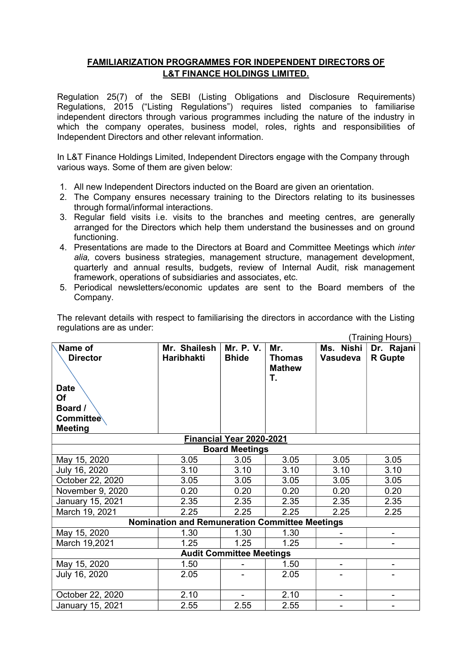## FAMILIARIZATION PROGRAMMES FOR INDEPENDENT DIRECTORS OF L&T FINANCE HOLDINGS LIMITED.

Regulation 25(7) of the SEBI (Listing Obligations and Disclosure Requirements) Regulations, 2015 ("Listing Regulations") requires listed companies to familiarise independent directors through various programmes including the nature of the industry in which the company operates, business model, roles, rights and responsibilities of Independent Directors and other relevant information.

In L&T Finance Holdings Limited, Independent Directors engage with the Company through various ways. Some of them are given below:

- 1. All new Independent Directors inducted on the Board are given an orientation.
- 2. The Company ensures necessary training to the Directors relating to its businesses through formal/informal interactions.
- 3. Regular field visits i.e. visits to the branches and meeting centres, are generally arranged for the Directors which help them understand the businesses and on ground functioning.
- 4. Presentations are made to the Directors at Board and Committee Meetings which *inter* alia, covers business strategies, management structure, management development, quarterly and annual results, budgets, review of Internal Audit, risk management framework, operations of subsidiaries and associates, etc.
- 5. Periodical newsletters/economic updates are sent to the Board members of the Company.

|                                                       | (Training Hours)  |              |                                |                          |                |  |  |  |
|-------------------------------------------------------|-------------------|--------------|--------------------------------|--------------------------|----------------|--|--|--|
| Name of                                               | Mr. Shailesh      | Mr. P. V.    | Mr.                            | Ms. Nishi                | Dr. Rajani     |  |  |  |
| <b>Director</b>                                       | <b>Haribhakti</b> | <b>Bhide</b> | <b>Thomas</b><br><b>Mathew</b> | <b>Vasudeva</b>          | <b>R</b> Gupte |  |  |  |
|                                                       |                   |              | T.                             |                          |                |  |  |  |
| <b>Date</b><br>Of                                     |                   |              |                                |                          |                |  |  |  |
| Board /                                               |                   |              |                                |                          |                |  |  |  |
| Committee                                             |                   |              |                                |                          |                |  |  |  |
| <b>Meeting</b>                                        |                   |              |                                |                          |                |  |  |  |
| Financial Year 2020-2021                              |                   |              |                                |                          |                |  |  |  |
| <b>Board Meetings</b>                                 |                   |              |                                |                          |                |  |  |  |
| May 15, 2020                                          | 3.05              | 3.05         | 3.05                           | 3.05                     | 3.05           |  |  |  |
| July 16, 2020                                         | 3.10              | 3.10         | 3.10                           | 3.10                     | 3.10           |  |  |  |
| October 22, 2020                                      | 3.05              | 3.05         | 3.05                           | 3.05                     | 3.05           |  |  |  |
| November 9, 2020                                      | 0.20              | 0.20         | 0.20                           | 0.20                     | 0.20           |  |  |  |
| January 15, 2021                                      | 2.35              | 2.35         | 2.35                           | 2.35                     | 2.35           |  |  |  |
| March 19, 2021                                        | 2.25              | 2.25         | 2.25                           | 2.25                     | 2.25           |  |  |  |
| <b>Nomination and Remuneration Committee Meetings</b> |                   |              |                                |                          |                |  |  |  |
| May 15, 2020                                          | 1.30              | 1.30         | 1.30                           |                          |                |  |  |  |
| March 19,2021                                         | 1.25              | 1.25         | 1.25                           |                          |                |  |  |  |
| <b>Audit Committee Meetings</b>                       |                   |              |                                |                          |                |  |  |  |
| May 15, 2020                                          | 1.50              |              | 1.50                           | ۰                        | ۰              |  |  |  |
| July 16, 2020                                         | 2.05              |              | 2.05                           |                          |                |  |  |  |
|                                                       |                   |              |                                |                          |                |  |  |  |
| October 22, 2020                                      | 2.10              | $\sim$       | 2.10                           | $\overline{\phantom{a}}$ | ۰              |  |  |  |
| January 15, 2021                                      | 2.55              | 2.55         | 2.55                           |                          |                |  |  |  |

The relevant details with respect to familiarising the directors in accordance with the Listing regulations are as under: